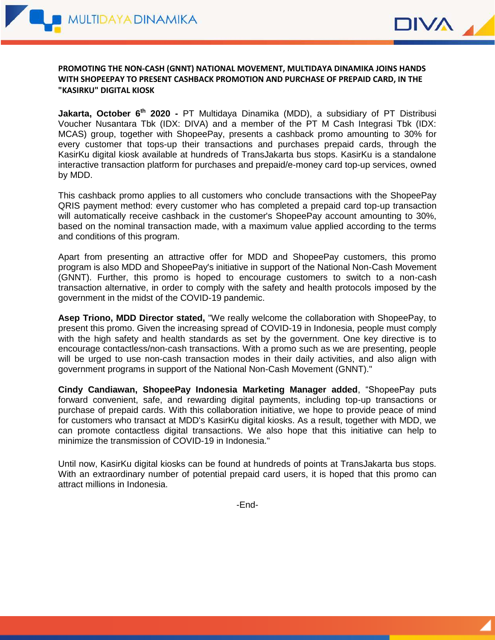



## **PROMOTING THE NON-CASH (GNNT) NATIONAL MOVEMENT, MULTIDAYA DINAMIKA JOINS HANDS WITH SHOPEEPAY TO PRESENT CASHBACK PROMOTION AND PURCHASE OF PREPAID CARD, IN THE "KASIRKU" DIGITAL KIOSK**

**Jakarta, October 6th 2020 -** PT Multidaya Dinamika (MDD), a subsidiary of PT Distribusi Voucher Nusantara Tbk (IDX: DIVA) and a member of the PT M Cash Integrasi Tbk (IDX: MCAS) group, together with ShopeePay, presents a cashback promo amounting to 30% for every customer that tops-up their transactions and purchases prepaid cards, through the KasirKu digital kiosk available at hundreds of TransJakarta bus stops. KasirKu is a standalone interactive transaction platform for purchases and prepaid/e-money card top-up services, owned by MDD.

This cashback promo applies to all customers who conclude transactions with the ShopeePay QRIS payment method: every customer who has completed a prepaid card top-up transaction will automatically receive cashback in the customer's ShopeePay account amounting to 30%, based on the nominal transaction made, with a maximum value applied according to the terms and conditions of this program.

Apart from presenting an attractive offer for MDD and ShopeePay customers, this promo program is also MDD and ShopeePay's initiative in support of the National Non-Cash Movement (GNNT). Further, this promo is hoped to encourage customers to switch to a non-cash transaction alternative, in order to comply with the safety and health protocols imposed by the government in the midst of the COVID-19 pandemic.

**Asep Triono, MDD Director stated,** "We really welcome the collaboration with ShopeePay, to present this promo. Given the increasing spread of COVID-19 in Indonesia, people must comply with the high safety and health standards as set by the government. One key directive is to encourage contactless/non-cash transactions. With a promo such as we are presenting, people will be urged to use non-cash transaction modes in their daily activities, and also align with government programs in support of the National Non-Cash Movement (GNNT)."

**Cindy Candiawan, ShopeePay Indonesia Marketing Manager added**, "ShopeePay puts forward convenient, safe, and rewarding digital payments, including top-up transactions or purchase of prepaid cards. With this collaboration initiative, we hope to provide peace of mind for customers who transact at MDD's KasirKu digital kiosks. As a result, together with MDD, we can promote contactless digital transactions. We also hope that this initiative can help to minimize the transmission of COVID-19 in Indonesia."

Until now, KasirKu digital kiosks can be found at hundreds of points at TransJakarta bus stops. With an extraordinary number of potential prepaid card users, it is hoped that this promo can attract millions in Indonesia.

-End-